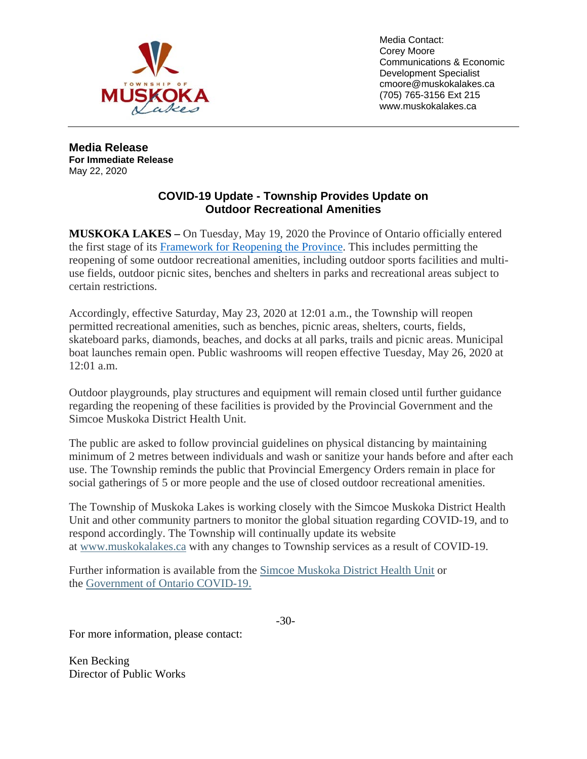

Media Contact: Corey Moore Communications & Economic Development Specialist cmoore@muskokalakes.ca (705) 765-3156 Ext 215 www.muskokalakes.ca

**Media Release For Immediate Release** May 22, 2020

## **COVID-19 Update - Township Provides Update on Outdoor Recreational Amenities**

**MUSKOKA LAKES –** On Tuesday, May 19, 2020 the Province of Ontario officially entered the first stage of its [Framework for Reopening the Province.](https://www.ontario.ca/page/reopening-ontario-after-covid-19) This includes permitting the reopening of some outdoor recreational amenities, including outdoor sports facilities and multiuse fields, outdoor picnic sites, benches and shelters in parks and recreational areas subject to certain restrictions.

Accordingly, effective Saturday, May 23, 2020 at 12:01 a.m., the Township will reopen permitted recreational amenities, such as benches, picnic areas, shelters, courts, fields, skateboard parks, diamonds, beaches, and docks at all parks, trails and picnic areas. Municipal boat launches remain open. Public washrooms will reopen effective Tuesday, May 26, 2020 at 12:01 a.m.

Outdoor playgrounds, play structures and equipment will remain closed until further guidance regarding the reopening of these facilities is provided by the Provincial Government and the Simcoe Muskoka District Health Unit.

The public are asked to follow provincial guidelines on physical distancing by maintaining minimum of 2 metres between individuals and wash or sanitize your hands before and after each use. The Township reminds the public that Provincial Emergency Orders remain in place for social gatherings of 5 or more people and the use of closed outdoor recreational amenities.

The Township of Muskoka Lakes is working closely with the Simcoe Muskoka District Health Unit and other community partners to monitor the global situation regarding COVID-19, and to respond accordingly. The Township will continually update its website at [www.muskokalakes.ca](https://ic12.esolg.ca/11195143_MuskokaLakes/en/index.aspx) with any changes to Township services as a result of COVID-19.

Further information is available from the [Simcoe Muskoka District Health Unit](http://www.simcoemuskokahealth.org/Promos/Novel-Coronavirus) or the [Government of Ontario COVID-19.](https://covid-19.ontario.ca/)

-30-

For more information, please contact:

Ken Becking Director of Public Works